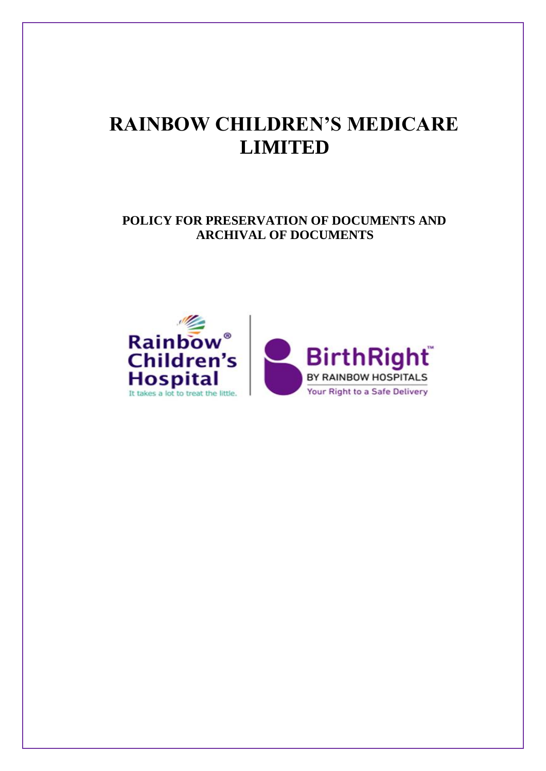# **RAINBOW CHILDREN'S MEDICARE LIMITED**

# **POLICY FOR PRESERVATION OF DOCUMENTS AND ARCHIVAL OF DOCUMENTS**

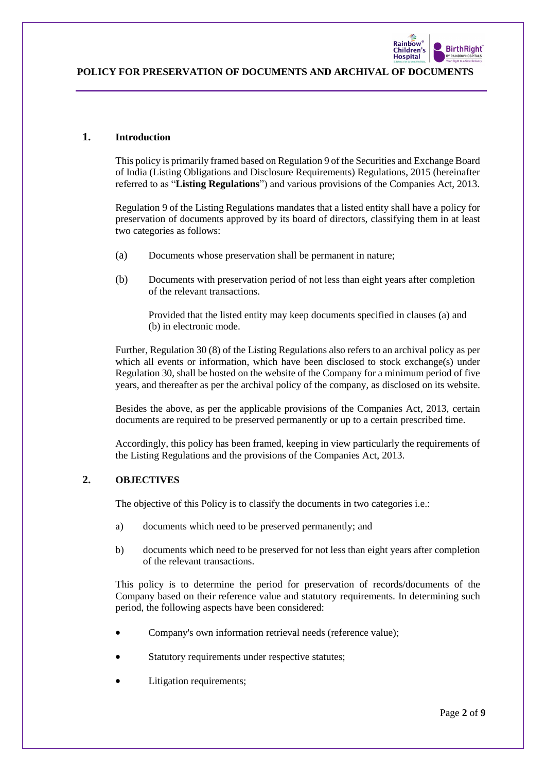

#### **1. Introduction**

This policy is primarily framed based on Regulation 9 of the Securities and Exchange Board of India (Listing Obligations and Disclosure Requirements) Regulations, 2015 (hereinafter referred to as "**Listing Regulations**") and various provisions of the Companies Act, 2013.

Regulation 9 of the Listing Regulations mandates that a listed entity shall have a policy for preservation of documents approved by its board of directors, classifying them in at least two categories as follows:

- (a) Documents whose preservation shall be permanent in nature;
- (b) Documents with preservation period of not less than eight years after completion of the relevant transactions.

Provided that the listed entity may keep documents specified in clauses (a) and (b) in electronic mode.

Further, Regulation 30 (8) of the Listing Regulations also refers to an archival policy as per which all events or information, which have been disclosed to stock exchange(s) under Regulation 30, shall be hosted on the website of the Company for a minimum period of five years, and thereafter as per the archival policy of the company, as disclosed on its website.

Besides the above, as per the applicable provisions of the Companies Act, 2013, certain documents are required to be preserved permanently or up to a certain prescribed time.

Accordingly, this policy has been framed, keeping in view particularly the requirements of the Listing Regulations and the provisions of the Companies Act, 2013.

# **2. OBJECTIVES**

The objective of this Policy is to classify the documents in two categories i.e.:

- a) documents which need to be preserved permanently; and
- b) documents which need to be preserved for not less than eight years after completion of the relevant transactions.

This policy is to determine the period for preservation of records/documents of the Company based on their reference value and statutory requirements. In determining such period, the following aspects have been considered:

- Company's own information retrieval needs (reference value);
- Statutory requirements under respective statutes;
- Litigation requirements;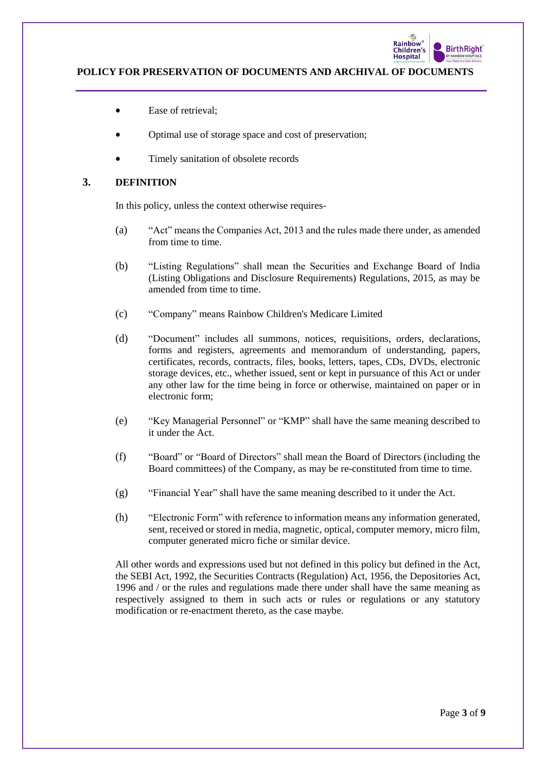

- Ease of retrieval:
- Optimal use of storage space and cost of preservation;
- Timely sanitation of obsolete records

# **3. DEFINITION**

In this policy, unless the context otherwise requires-

- (a) "Act" means the Companies Act, 2013 and the rules made there under, as amended from time to time.
- (b) "Listing Regulations" shall mean the Securities and Exchange Board of India (Listing Obligations and Disclosure Requirements) Regulations, 2015, as may be amended from time to time.
- (c) "Company" means Rainbow Children's Medicare Limited
- (d) "Document" includes all summons, notices, requisitions, orders, declarations, forms and registers, agreements and memorandum of understanding, papers, certificates, records, contracts, files, books, letters, tapes, CDs, DVDs, electronic storage devices, etc., whether issued, sent or kept in pursuance of this Act or under any other law for the time being in force or otherwise, maintained on paper or in electronic form;
- (e) "Key Managerial Personnel" or "KMP" shall have the same meaning described to it under the Act.
- (f) "Board" or "Board of Directors" shall mean the Board of Directors (including the Board committees) of the Company, as may be re-constituted from time to time.
- (g) "Financial Year" shall have the same meaning described to it under the Act.
- (h) "Electronic Form" with reference to information means any information generated, sent, received or stored in media, magnetic, optical, computer memory, micro film, computer generated micro fiche or similar device.

All other words and expressions used but not defined in this policy but defined in the Act, the SEBI Act, 1992, the Securities Contracts (Regulation) Act, 1956, the Depositories Act, 1996 and / or the rules and regulations made there under shall have the same meaning as respectively assigned to them in such acts or rules or regulations or any statutory modification or re-enactment thereto, as the case maybe.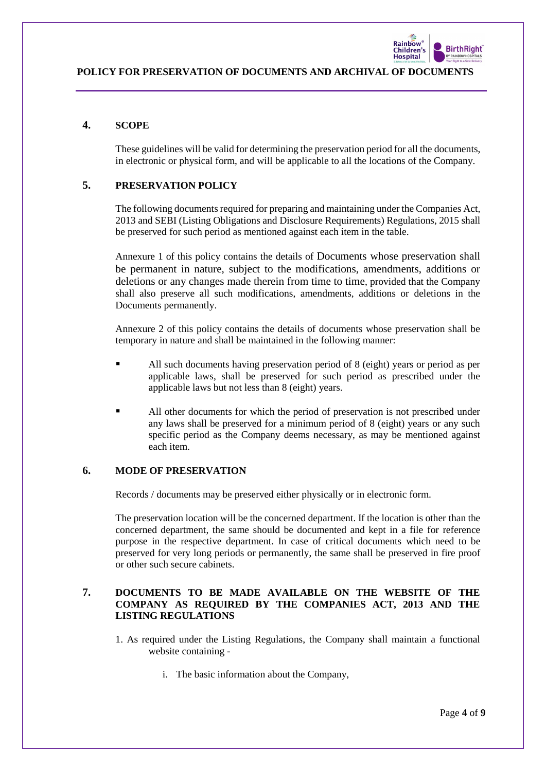

# **4. SCOPE**

These guidelines will be valid for determining the preservation period for all the documents, in electronic or physical form, and will be applicable to all the locations of the Company.

# **5. PRESERVATION POLICY**

The following documents required for preparing and maintaining under the Companies Act, 2013 and SEBI (Listing Obligations and Disclosure Requirements) Regulations, 2015 shall be preserved for such period as mentioned against each item in the table.

Annexure 1 of this policy contains the details of Documents whose preservation shall be permanent in nature, subject to the modifications, amendments, additions or deletions or any changes made therein from time to time, provided that the Company shall also preserve all such modifications, amendments, additions or deletions in the Documents permanently.

Annexure 2 of this policy contains the details of documents whose preservation shall be temporary in nature and shall be maintained in the following manner:

- All such documents having preservation period of 8 (eight) years or period as per applicable laws, shall be preserved for such period as prescribed under the applicable laws but not less than 8 (eight) years.
- All other documents for which the period of preservation is not prescribed under any laws shall be preserved for a minimum period of 8 (eight) years or any such specific period as the Company deems necessary, as may be mentioned against each item.

#### **6. MODE OF PRESERVATION**

Records / documents may be preserved either physically or in electronic form.

The preservation location will be the concerned department. If the location is other than the concerned department, the same should be documented and kept in a file for reference purpose in the respective department. In case of critical documents which need to be preserved for very long periods or permanently, the same shall be preserved in fire proof or other such secure cabinets.

# **7. DOCUMENTS TO BE MADE AVAILABLE ON THE WEBSITE OF THE COMPANY AS REQUIRED BY THE COMPANIES ACT, 2013 AND THE LISTING REGULATIONS**

- 1. As required under the Listing Regulations, the Company shall maintain a functional website containing
	- i. The basic information about the Company,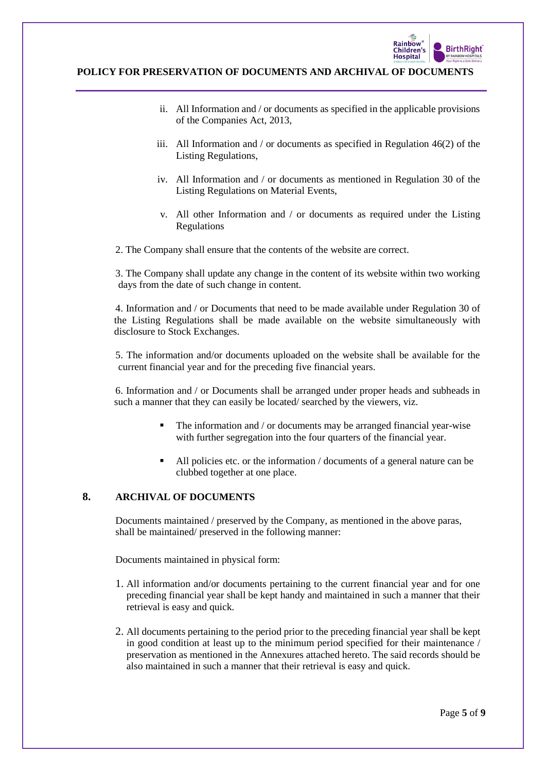

- ii. All Information and / or documents as specified in the applicable provisions of the Companies Act, 2013,
- iii. All Information and / or documents as specified in Regulation 46(2) of the Listing Regulations,
- iv. All Information and / or documents as mentioned in Regulation 30 of the Listing Regulations on Material Events,
- v. All other Information and / or documents as required under the Listing Regulations
- 2. The Company shall ensure that the contents of the website are correct.

3. The Company shall update any change in the content of its website within two working days from the date of such change in content.

4. Information and / or Documents that need to be made available under Regulation 30 of the Listing Regulations shall be made available on the website simultaneously with disclosure to Stock Exchanges.

5. The information and/or documents uploaded on the website shall be available for the current financial year and for the preceding five financial years.

6. Information and / or Documents shall be arranged under proper heads and subheads in such a manner that they can easily be located/ searched by the viewers, viz.

- The information and / or documents may be arranged financial year-wise with further segregation into the four quarters of the financial year.
- All policies etc. or the information / documents of a general nature can be clubbed together at one place.

# **8. ARCHIVAL OF DOCUMENTS**

Documents maintained / preserved by the Company, as mentioned in the above paras, shall be maintained/ preserved in the following manner:

Documents maintained in physical form:

- 1. All information and/or documents pertaining to the current financial year and for one preceding financial year shall be kept handy and maintained in such a manner that their retrieval is easy and quick.
- 2. All documents pertaining to the period prior to the preceding financial year shall be kept in good condition at least up to the minimum period specified for their maintenance / preservation as mentioned in the Annexures attached hereto. The said records should be also maintained in such a manner that their retrieval is easy and quick.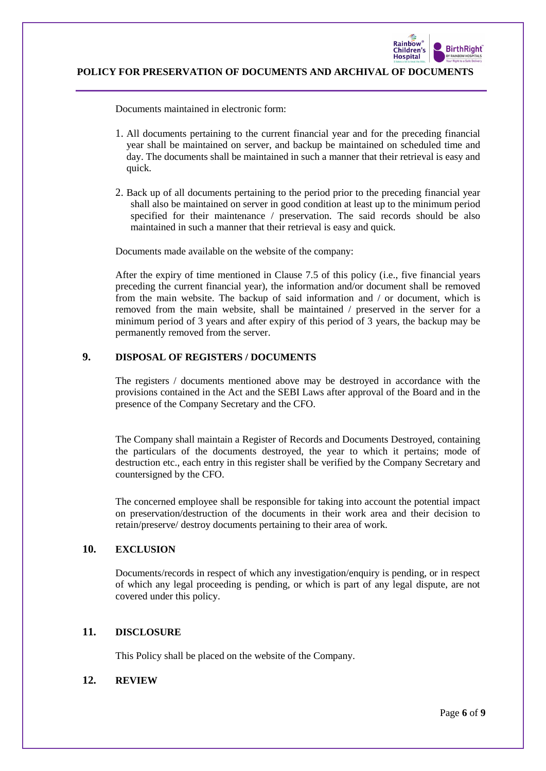

Documents maintained in electronic form:

- 1. All documents pertaining to the current financial year and for the preceding financial year shall be maintained on server, and backup be maintained on scheduled time and day. The documents shall be maintained in such a manner that their retrieval is easy and quick.
- 2. Back up of all documents pertaining to the period prior to the preceding financial year shall also be maintained on server in good condition at least up to the minimum period specified for their maintenance / preservation. The said records should be also maintained in such a manner that their retrieval is easy and quick.

Documents made available on the website of the company:

After the expiry of time mentioned in Clause 7.5 of this policy (i.e., five financial years preceding the current financial year), the information and/or document shall be removed from the main website. The backup of said information and / or document, which is removed from the main website, shall be maintained / preserved in the server for a minimum period of 3 years and after expiry of this period of 3 years, the backup may be permanently removed from the server.

# **9. DISPOSAL OF REGISTERS / DOCUMENTS**

The registers / documents mentioned above may be destroyed in accordance with the provisions contained in the Act and the SEBI Laws after approval of the Board and in the presence of the Company Secretary and the CFO.

The Company shall maintain a Register of Records and Documents Destroyed, containing the particulars of the documents destroyed, the year to which it pertains; mode of destruction etc., each entry in this register shall be verified by the Company Secretary and countersigned by the CFO.

The concerned employee shall be responsible for taking into account the potential impact on preservation/destruction of the documents in their work area and their decision to retain/preserve/ destroy documents pertaining to their area of work.

# **10. EXCLUSION**

Documents/records in respect of which any investigation/enquiry is pending, or in respect of which any legal proceeding is pending, or which is part of any legal dispute, are not covered under this policy.

#### **11. DISCLOSURE**

This Policy shall be placed on the website of the Company.

#### **12. REVIEW**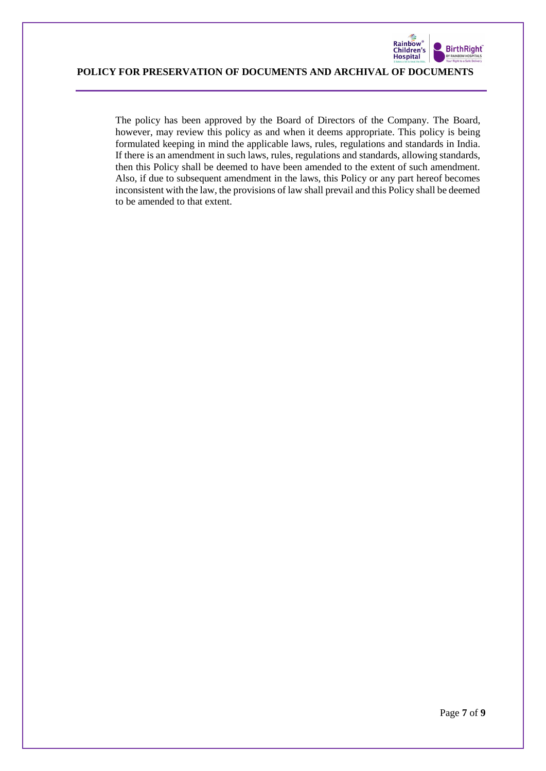

The policy has been approved by the Board of Directors of the Company. The Board, however, may review this policy as and when it deems appropriate. This policy is being formulated keeping in mind the applicable laws, rules, regulations and standards in India. If there is an amendment in such laws, rules, regulations and standards, allowing standards, then this Policy shall be deemed to have been amended to the extent of such amendment. Also, if due to subsequent amendment in the laws, this Policy or any part hereof becomes inconsistent with the law, the provisions of law shall prevail and this Policy shall be deemed to be amended to that extent.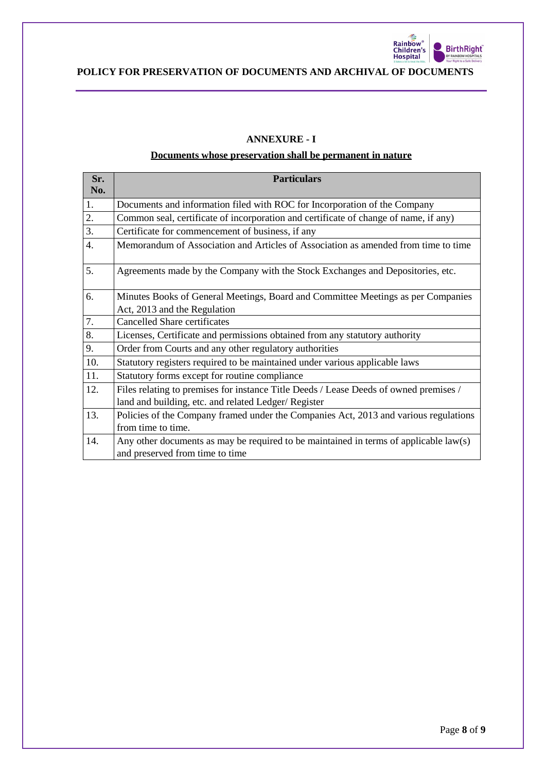

# **ANNEXURE - I**

#### **Documents whose preservation shall be permanent in nature**

| Sr.<br>No.       | <b>Particulars</b>                                                                    |  |
|------------------|---------------------------------------------------------------------------------------|--|
| 1.               | Documents and information filed with ROC for Incorporation of the Company             |  |
| 2.               | Common seal, certificate of incorporation and certificate of change of name, if any)  |  |
| $\overline{3}$ . | Certificate for commencement of business, if any                                      |  |
| 4.               | Memorandum of Association and Articles of Association as amended from time to time    |  |
| 5.               | Agreements made by the Company with the Stock Exchanges and Depositories, etc.        |  |
| 6.               | Minutes Books of General Meetings, Board and Committee Meetings as per Companies      |  |
|                  | Act, 2013 and the Regulation                                                          |  |
| 7.               | <b>Cancelled Share certificates</b>                                                   |  |
| 8.               | Licenses, Certificate and permissions obtained from any statutory authority           |  |
| 9.               | Order from Courts and any other regulatory authorities                                |  |
| 10.              | Statutory registers required to be maintained under various applicable laws           |  |
| 11.              | Statutory forms except for routine compliance                                         |  |
| 12.              | Files relating to premises for instance Title Deeds / Lease Deeds of owned premises / |  |
|                  | land and building, etc. and related Ledger/ Register                                  |  |
| 13.              | Policies of the Company framed under the Companies Act, 2013 and various regulations  |  |
|                  | from time to time.                                                                    |  |
| 14.              | Any other documents as may be required to be maintained in terms of applicable law(s) |  |
|                  | and preserved from time to time                                                       |  |